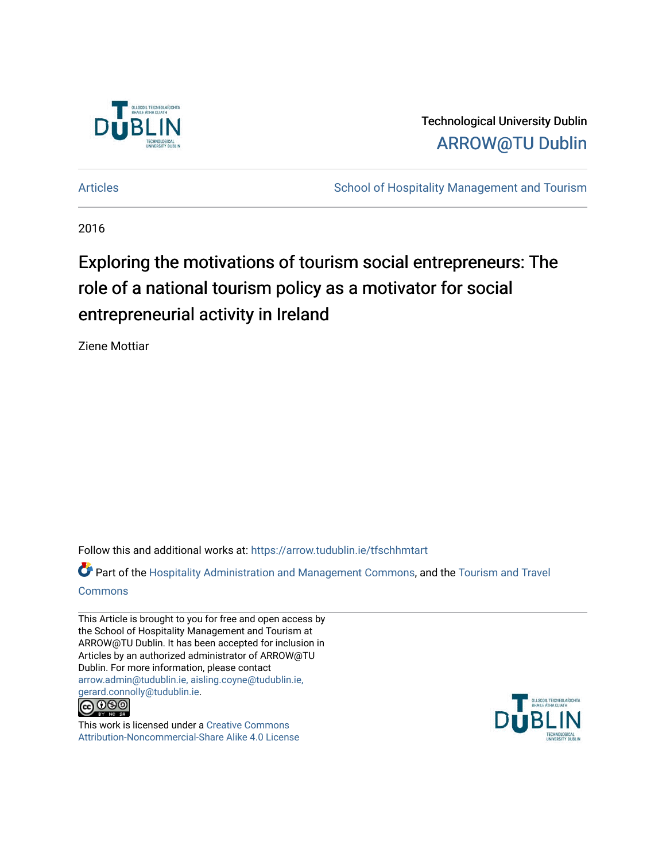

Technological University Dublin [ARROW@TU Dublin](https://arrow.tudublin.ie/) 

[Articles](https://arrow.tudublin.ie/tfschhmtart) **School of Hospitality Management and Tourism** 

2016

# Exploring the motivations of tourism social entrepreneurs: The role of a national tourism policy as a motivator for social entrepreneurial activity in Ireland

Ziene Mottiar

Follow this and additional works at: [https://arrow.tudublin.ie/tfschhmtart](https://arrow.tudublin.ie/tfschhmtart?utm_source=arrow.tudublin.ie%2Ftfschhmtart%2F99&utm_medium=PDF&utm_campaign=PDFCoverPages) 

Part of the [Hospitality Administration and Management Commons,](http://network.bepress.com/hgg/discipline/632?utm_source=arrow.tudublin.ie%2Ftfschhmtart%2F99&utm_medium=PDF&utm_campaign=PDFCoverPages) and the [Tourism and Travel](http://network.bepress.com/hgg/discipline/1082?utm_source=arrow.tudublin.ie%2Ftfschhmtart%2F99&utm_medium=PDF&utm_campaign=PDFCoverPages)

**[Commons](http://network.bepress.com/hgg/discipline/1082?utm_source=arrow.tudublin.ie%2Ftfschhmtart%2F99&utm_medium=PDF&utm_campaign=PDFCoverPages)** 

This Article is brought to you for free and open access by the School of Hospitality Management and Tourism at ARROW@TU Dublin. It has been accepted for inclusion in Articles by an authorized administrator of ARROW@TU Dublin. For more information, please contact [arrow.admin@tudublin.ie, aisling.coyne@tudublin.ie,](mailto:arrow.admin@tudublin.ie,%20aisling.coyne@tudublin.ie,%20gerard.connolly@tudublin.ie)  [gerard.connolly@tudublin.ie](mailto:arrow.admin@tudublin.ie,%20aisling.coyne@tudublin.ie,%20gerard.connolly@tudublin.ie).



This work is licensed under a [Creative Commons](http://creativecommons.org/licenses/by-nc-sa/4.0/) [Attribution-Noncommercial-Share Alike 4.0 License](http://creativecommons.org/licenses/by-nc-sa/4.0/)

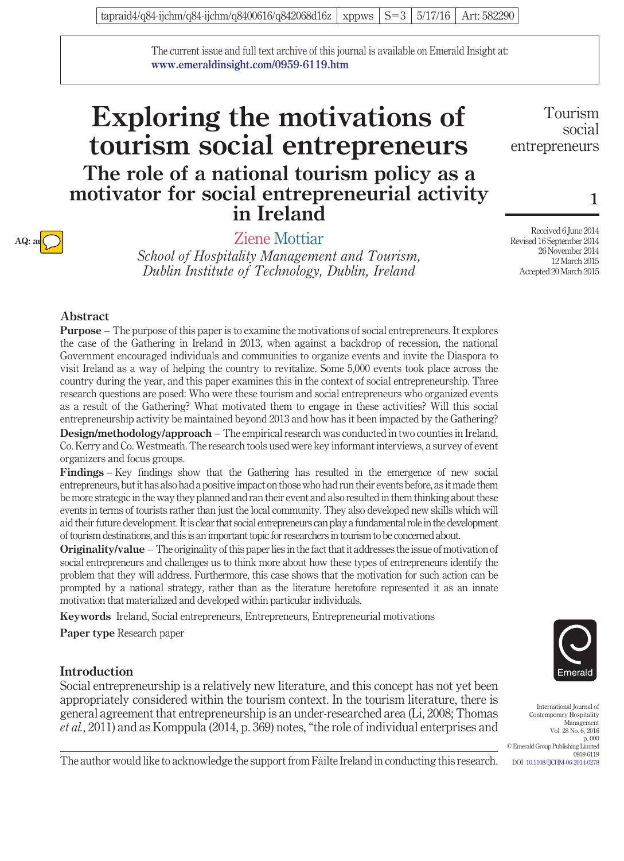tapraid $\frac{4}{q}$ 84-ijchm/q84-ijchm/q8400616/q842068d16z | xppws  $\mid S=3$ 5/17/16 | Art: 582290

> The current issue and full text archive of this journal is available on Emerald Insight at: **www.emeraldinsight.com/0959-6119.htm**

# **Exploring the motivations of tourism social entrepreneurs The role of a national tourism policy as a motivator for social entrepreneurial activity in Ireland**



### Ziene Mottiar

*School of Hospitality Management and Tourism, Dublin Institute of Technology, Dublin, Ireland*

Tourism social entrepreneurs

**1**

Received 6 June 2014 Revised 16 September 2014 26 November 2014 12 March 2015 Accepted 20 March 2015

#### **Abstract**

**Purpose** – The purpose of this paper is to examine the motivations of social entrepreneurs. It explores the case of the Gathering in Ireland in 2013, when against a backdrop of recession, the national Government encouraged individuals and communities to organize events and invite the Diaspora to visit Ireland as a way of helping the country to revitalize. Some 5,000 events took place across the country during the year, and this paper examines this in the context of social entrepreneurship. Three research questions are posed: Who were these tourism and social entrepreneurs who organized events as a result of the Gathering? What motivated them to engage in these activities? Will this social entrepreneurship activity be maintained beyond 2013 and how has it been impacted by the Gathering? **Design/methodology/approach** – The empirical research was conducted in two counties in Ireland, Co. Kerry and Co. Westmeath. The research tools used were key informant interviews, a survey of event organizers and focus groups.

**Findings** – Key findings show that the Gathering has resulted in the emergence of new social entrepreneurs, but it has also had a positive impact on those who had run their events before, as it made them be more strategic in the way they planned and ran their event and also resulted in them thinking about these events in terms of tourists rather than just the local community. They also developed new skills which will aid their future development. It is clear that social entrepreneurs can play a fundamental role in the development of tourism destinations, and this is an important topic for researchers in tourism to be concerned about.

**Originality/value** – The originality of this paper lies in the fact that it addresses the issue of motivation of social entrepreneurs and challenges us to think more about how these types of entrepreneurs identify the problem that they will address. Furthermore, this case shows that the motivation for such action can be prompted by a national strategy, rather than as the literature heretofore represented it as an innate motivation that materialized and developed within particular individuals.

**Keywords** Ireland, Social entrepreneurs, Entrepreneurs, Entrepreneurial motivations

**Paper type** Research paper

#### **Introduction**

Social entrepreneurship is a relatively new literature, and this concept has not yet been appropriately considered within the tourism context. In the tourism literature, there is general agreement that entrepreneurship is an under-researched area (Li, 2008; Thomas *et al.*, 2011) and as Komppula (2014, p. 369) notes, "the role of individual enterprises and



International Journal of Contemporary Hospitality ,<br>Manager Vol. 28 No. 6, 2016 p. 000 © Emerald Group Publishing Limited 0959-6119 DOI [10.1108/IJCHM-06-2014-0278](http://dx.doi.org/10.1108/IJCHM-06-2014-0278)

The author would like to acknowledge the support from Fáilte Ireland in conducting this research.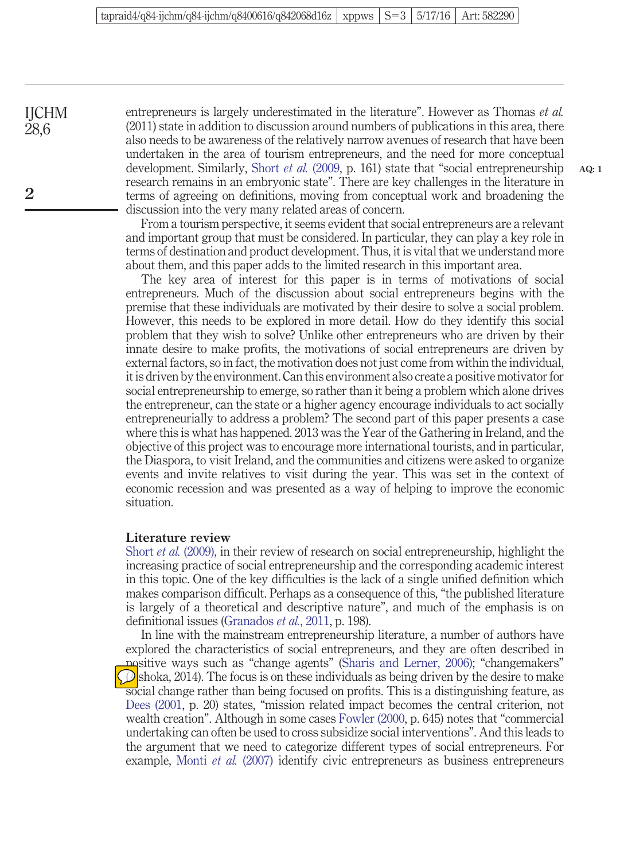entrepreneurs is largely underestimated in the literature". However as Thomas *et al.* (2011) state in addition to discussion around numbers of publications in this area, there also needs to be awareness of the relatively narrow avenues of research that have been undertaken in the area of tourism entrepreneurs, and the need for more conceptual development. Similarly, [Short](#page-17-0) *et al.* (2009, p. 161) state that "social entrepreneurship research remains in an embryonic state". There are key challenges in the literature in terms of agreeing on definitions, moving from conceptual work and broadening the discussion into the very many related areas of concern.

From a tourism perspective, it seems evident that social entrepreneurs are a relevant and important group that must be considered. In particular, they can play a key role in terms of destination and product development. Thus, it is vital that we understand more about them, and this paper adds to the limited research in this important area.

The key area of interest for this paper is in terms of motivations of social entrepreneurs. Much of the discussion about social entrepreneurs begins with the premise that these individuals are motivated by their desire to solve a social problem. However, this needs to be explored in more detail. How do they identify this social problem that they wish to solve? Unlike other entrepreneurs who are driven by their innate desire to make profits, the motivations of social entrepreneurs are driven by external factors, so in fact, the motivation does not just come from within the individual, it is driven by the environment. Can this environment also create a positive motivator for social entrepreneurship to emerge, so rather than it being a problem which alone drives the entrepreneur, can the state or a higher agency encourage individuals to act socially entrepreneurially to address a problem? The second part of this paper presents a case where this is what has happened. 2013 was the Year of the Gathering in Ireland, and the objective of this project was to encourage more international tourists, and in particular, the Diaspora, to visit Ireland, and the communities and citizens were asked to organize events and invite relatives to visit during the year. This was set in the context of economic recession and was presented as a way of helping to improve the economic situation.

#### **Literature review**

IJCHM 28,6

**2**

Short *et al.* [\(2009\),](#page-17-0) in their review of research on social entrepreneurship, highlight the increasing practice of social entrepreneurship and the corresponding academic interest in this topic. One of the key difficulties is the lack of a single unified definition which makes comparison difficult. Perhaps as a consequence of this, "the published literature is largely of a theoretical and descriptive nature", and much of the emphasis is on definitional issues [\(Granados](#page-16-0) *et al.*, 2011, p. 198).

In line with the mainstream entrepreneurship literature, a number of authors have explored the characteristics of social entrepreneurs, and they are often described in positive ways such as "change agents" [\(Sharis and Lerner, 2006\);](#page-17-0) "changemakers"  $\bigcirc$  Shoka, 2014). The focus is on these individuals as being driven by the desire to make social change rather than being focused on profits. This is a distinguishing feature, as [Dees \(2001,](#page-16-0) p. 20) states, "mission related impact becomes the central criterion, not wealth creation". Although in some cases [Fowler \(2000,](#page-16-0) p. 645) notes that "commercial undertaking can often be used to cross subsidize social interventions". And this leads to the argument that we need to categorize different types of social entrepreneurs. For example, [Monti](#page-16-0) *et al.* (2007) identify civic entrepreneurs as business entrepreneurs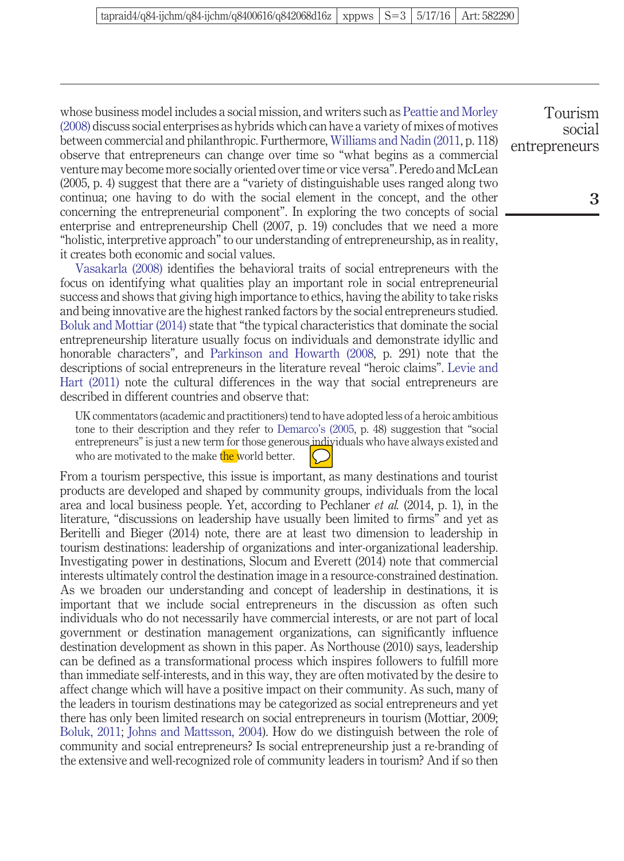whose business model includes a social mission, and writers such as [Peattie and Morley](#page-17-0) [\(2008\)](#page-17-0) discuss social enterprises as hybrids which can have a variety of mixes of motives between commercial and philanthropic. Furthermore, [Williams and Nadin \(2011,](#page-17-0) p. 118) observe that entrepreneurs can change over time so "what begins as a commercial venture may become more socially oriented over time or vice versa". Peredo and McLean (2005, p. 4) suggest that there are a "variety of distinguishable uses ranged along two continua; one having to do with the social element in the concept, and the other concerning the entrepreneurial component". In exploring the two concepts of social enterprise and entrepreneurship Chell (2007, p. 19) concludes that we need a more "holistic, interpretive approach" to our understanding of entrepreneurship, as in reality, it creates both economic and social values.

[Vasakarla \(2008\)](#page-17-0) identifies the behavioral traits of social entrepreneurs with the focus on identifying what qualities play an important role in social entrepreneurial success and shows that giving high importance to ethics, having the ability to take risks and being innovative are the highest ranked factors by the social entrepreneurs studied. [Boluk and Mottiar \(2014\)](#page-16-0) state that "the typical characteristics that dominate the social entrepreneurship literature usually focus on individuals and demonstrate idyllic and honorable characters", and [Parkinson and Howarth \(2008,](#page-17-0) p. 291) note that the descriptions of social entrepreneurs in the literature reveal "heroic claims". [Levie and](#page-16-0) [Hart \(2011\)](#page-16-0) note the cultural differences in the way that social entrepreneurs are described in different countries and observe that:

UK commentators (academic and practitioners) tend to have adopted less of a heroic ambitious tone to their description and they refer to [Demarco's \(2005,](#page-16-0) p. 48) suggestion that "social entrepreneurs" is just a new term for those generous individuals who have always existed and who are motivated to the make the world better.

From a tourism perspective, this issue is important, as many destinations and tourist products are developed and shaped by community groups, individuals from the local area and local business people. Yet, according to Pechlaner *et al.* (2014, p. 1), in the literature, "discussions on leadership have usually been limited to firms" and yet as Beritelli and Bieger (2014) note, there are at least two dimension to leadership in tourism destinations: leadership of organizations and inter-organizational leadership. Investigating power in destinations, Slocum and Everett (2014) note that commercial interests ultimately control the destination image in a resource-constrained destination. As we broaden our understanding and concept of leadership in destinations, it is important that we include social entrepreneurs in the discussion as often such individuals who do not necessarily have commercial interests, or are not part of local government or destination management organizations, can significantly influence destination development as shown in this paper. As Northouse (2010) says, leadership can be defined as a transformational process which inspires followers to fulfill more than immediate self-interests, and in this way, they are often motivated by the desire to affect change which will have a positive impact on their community. As such, many of the leaders in tourism destinations may be categorized as social entrepreneurs and yet there has only been limited research on social entrepreneurs in tourism (Mottiar, 2009; [Boluk, 2011;](#page-16-0) [Johns and Mattsson, 2004\)](#page-16-0). How do we distinguish between the role of community and social entrepreneurs? Is social entrepreneurship just a re-branding of the extensive and well-recognized role of community leaders in tourism? And if so then

Tourism social entrepreneurs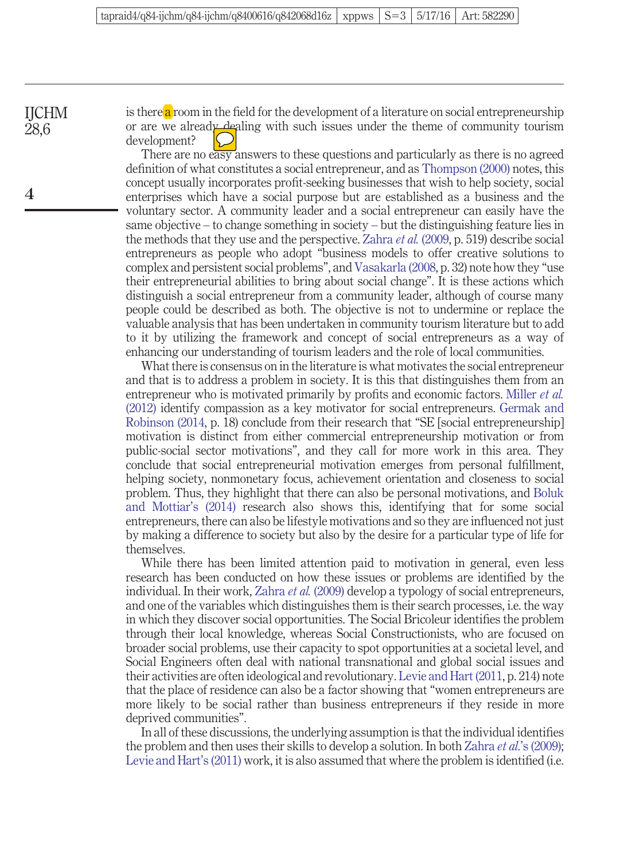is there a room in the field for the development of a literature on social entrepreneurship or are we already dealing with such issues under the theme of community tourism development?

There are no easy answers to these questions and particularly as there is no agreed definition of what constitutes a social entrepreneur, and as [Thompson \(2000\)](#page-17-0) notes, this concept usually incorporates profit-seeking businesses that wish to help society, social enterprises which have a social purpose but are established as a business and the voluntary sector. A community leader and a social entrepreneur can easily have the same objective – to change something in society – but the distinguishing feature lies in the methods that they use and the perspective. [Zahra](#page-17-0) *et al.* (2009, p. 519) describe social entrepreneurs as people who adopt "business models to offer creative solutions to complex and persistent social problems", and [Vasakarla \(2008,](#page-17-0) p. 32) note how they "use their entrepreneurial abilities to bring about social change". It is these actions which distinguish a social entrepreneur from a community leader, although of course many people could be described as both. The objective is not to undermine or replace the valuable analysis that has been undertaken in community tourism literature but to add to it by utilizing the framework and concept of social entrepreneurs as a way of enhancing our understanding of tourism leaders and the role of local communities.

What there is consensus on in the literature is what motivates the social entrepreneur and that is to address a problem in society. It is this that distinguishes them from an entrepreneur who is motivated primarily by profits and economic factors. [Miller](#page-16-0) *et al.* [\(2012\)](#page-16-0) identify compassion as a key motivator for social entrepreneurs. [Germak and](#page-16-0) [Robinson \(2014,](#page-16-0) p. 18) conclude from their research that "SE [social entrepreneurship] motivation is distinct from either commercial entrepreneurship motivation or from public-social sector motivations", and they call for more work in this area. They conclude that social entrepreneurial motivation emerges from personal fulfillment, helping society, nonmonetary focus, achievement orientation and closeness to social problem. Thus, they highlight that there can also be personal motivations, and [Boluk](#page-16-0) [and Mottiar's \(2014\)](#page-16-0) research also shows this, identifying that for some social entrepreneurs, there can also be lifestyle motivations and so they are influenced not just by making a difference to society but also by the desire for a particular type of life for themselves.

While there has been limited attention paid to motivation in general, even less research has been conducted on how these issues or problems are identified by the individual. In their work, [Zahra](#page-17-0) *et al.* (2009) develop a typology of social entrepreneurs, and one of the variables which distinguishes them is their search processes, i.e. the way in which they discover social opportunities. The Social Bricoleur identifies the problem through their local knowledge, whereas Social Constructionists, who are focused on broader social problems, use their capacity to spot opportunities at a societal level, and Social Engineers often deal with national transnational and global social issues and their activities are often ideological and revolutionary. [Levie and Hart \(2011,](#page-16-0) p. 214) note that the place of residence can also be a factor showing that "women entrepreneurs are more likely to be social rather than business entrepreneurs if they reside in more deprived communities".

In all of these discussions, the underlying assumption is that the individual identifies the problem and then uses their skills to develop a solution. In both Zahra *et al*[.'s \(2009\);](#page-17-0) [Levie and Hart's \(2011\)](#page-16-0) work, it is also assumed that where the problem is identified (i.e.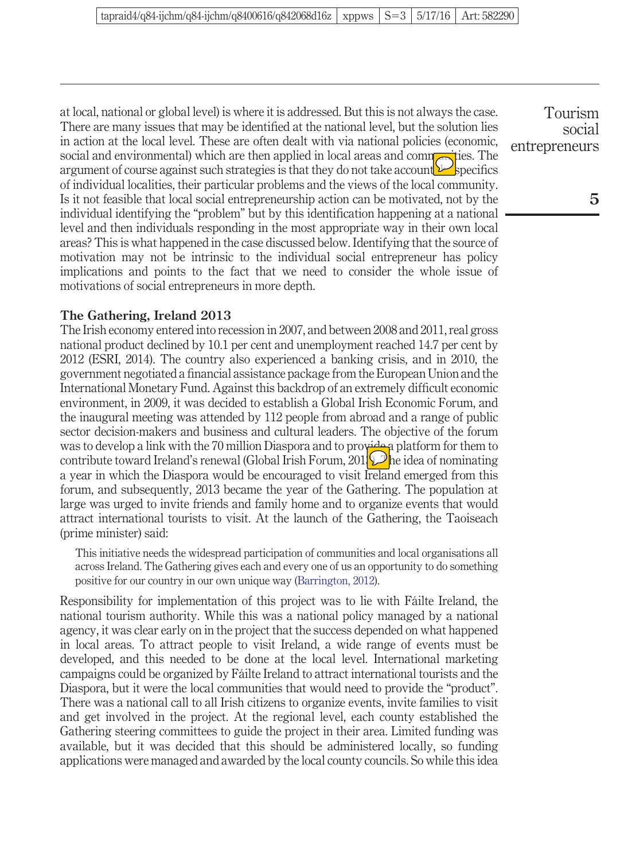at local, national or global level) is where it is addressed. But this is not always the case. There are many issues that may be identified at the national level, but the solution lies in action at the local level. These are often dealt with via national policies (economic, social and environmental) which are then applied in local areas and communities. The argument of course against such strategies is that they do not take account  $\sim$  specifics of individual localities, their particular problems and the views of the local community. Is it not feasible that local social entrepreneurship action can be motivated, not by the individual identifying the "problem" but by this identification happening at a national level and then individuals responding in the most appropriate way in their own local areas? This is what happened in the case discussed below. Identifying that the source of motivation may not be intrinsic to the individual social entrepreneur has policy implications and points to the fact that we need to consider the whole issue of motivations of social entrepreneurs in more depth.

#### **The Gathering, Ireland 2013**

The Irish economy entered into recession in 2007, and between 2008 and 2011, real gross national product declined by 10.1 per cent and unemployment reached 14.7 per cent by 2012 (ESRI, 2014). The country also experienced a banking crisis, and in 2010, the government negotiated a financial assistance package from the European Union and the International Monetary Fund. Against this backdrop of an extremely difficult economic environment, in 2009, it was decided to establish a Global Irish Economic Forum, and the inaugural meeting was attended by 112 people from abroad and a range of public sector decision-makers and business and cultural leaders. The objective of the forum was to develop a link with the 70 million Diaspora and to provide a platform for them to contribute toward Ireland's renewal (Global Irish Forum, 201 $\mathcal{D}$  he idea of nominating a year in which the Diaspora would be encouraged to visit Ireland emerged from this forum, and subsequently, 2013 became the year of the Gathering. The population at large was urged to invite friends and family home and to organize events that would attract international tourists to visit. At the launch of the Gathering, the Taoiseach (prime minister) said:

This initiative needs the widespread participation of communities and local organisations all across Ireland. The Gathering gives each and every one of us an opportunity to do something positive for our country in our own unique way [\(Barrington, 2012\)](#page-16-0).

Responsibility for implementation of this project was to lie with Fáilte Ireland, the national tourism authority. While this was a national policy managed by a national agency, it was clear early on in the project that the success depended on what happened in local areas. To attract people to visit Ireland, a wide range of events must be developed, and this needed to be done at the local level. International marketing campaigns could be organized by Fáilte Ireland to attract international tourists and the Diaspora, but it were the local communities that would need to provide the "product". There was a national call to all Irish citizens to organize events, invite families to visit and get involved in the project. At the regional level, each county established the Gathering steering committees to guide the project in their area. Limited funding was available, but it was decided that this should be administered locally, so funding applications were managed and awarded by the local county councils. So while this idea

Tourism social entrepreneurs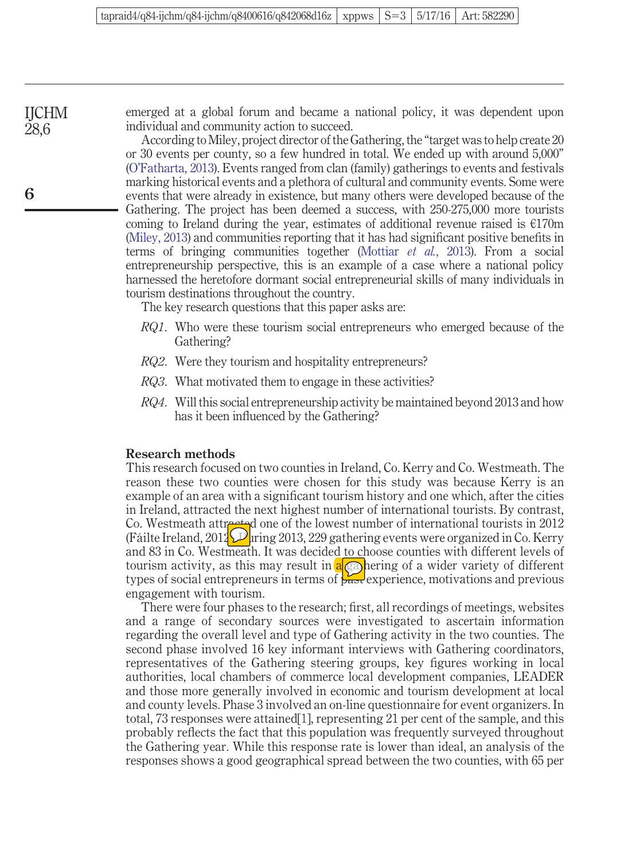IJCHM 28,6

**6**

emerged at a global forum and became a national policy, it was dependent upon individual and community action to succeed.

According to Miley, project director of the Gathering, the "target was to help create 20 or 30 events per county, so a few hundred in total. We ended up with around 5,000" [\(O'Fatharta, 2013\)](#page-16-0). Events ranged from clan (family) gatherings to events and festivals marking historical events and a plethora of cultural and community events. Some were events that were already in existence, but many others were developed because of the Gathering. The project has been deemed a success, with 250-275,000 more tourists coming to Ireland during the year, estimates of additional revenue raised is  $E170m$ [\(Miley, 2013\)](#page-16-0) and communities reporting that it has had significant positive benefits in terms of bringing communities together [\(Mottiar](#page-16-0) *et al.*, 2013). From a social entrepreneurship perspective, this is an example of a case where a national policy harnessed the heretofore dormant social entrepreneurial skills of many individuals in tourism destinations throughout the country.

The key research questions that this paper asks are:

- *RQ1*. Who were these tourism social entrepreneurs who emerged because of the Gathering?
- *RQ2*. Were they tourism and hospitality entrepreneurs?
- *RQ3*. What motivated them to engage in these activities?
- *RQ4*. Will this social entrepreneurship activity be maintained beyond 2013 and how has it been influenced by the Gathering?

#### **Research methods**

This research focused on two counties in Ireland, Co. Kerry and Co. Westmeath. The reason these two counties were chosen for this study was because Kerry is an example of an area with a significant tourism history and one which, after the cities in Ireland, attracted the next highest number of international tourists. By contrast, Co. Westmeath attracted one of the lowest number of international tourists in 2012 (Fáilte Ireland, 2012). During 2013, 229 gathering events were organized in Co. Kerry and 83 in Co. Westmeath. It was decided to choose counties with different levels of tourism activity, as this may result in **a** ga hering of a wider variety of different types of social entrepreneurs in terms of past experience, motivations and previous engagement with tourism.

There were four phases to the research; first, all recordings of meetings, websites and a range of secondary sources were investigated to ascertain information regarding the overall level and type of Gathering activity in the two counties. The second phase involved 16 key informant interviews with Gathering coordinators, representatives of the Gathering steering groups, key figures working in local authorities, local chambers of commerce local development companies, LEADER and those more generally involved in economic and tourism development at local and county levels. Phase 3 involved an on-line questionnaire for event organizers. In total, 73 responses were attained[\[1\]](#page-16-0), representing 21 per cent of the sample, and this probably reflects the fact that this population was frequently surveyed throughout the Gathering year. While this response rate is lower than ideal, an analysis of the responses shows a good geographical spread between the two counties, with 65 per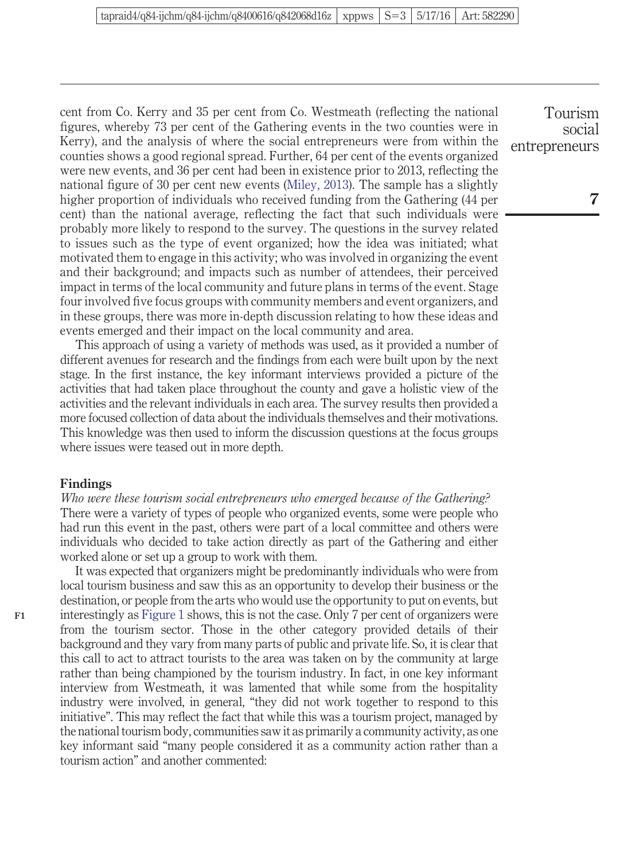cent from Co. Kerry and 35 per cent from Co. Westmeath (reflecting the national figures, whereby 73 per cent of the Gathering events in the two counties were in Kerry), and the analysis of where the social entrepreneurs were from within the counties shows a good regional spread. Further, 64 per cent of the events organized were new events, and 36 per cent had been in existence prior to 2013, reflecting the national figure of 30 per cent new events [\(Miley, 2013\)](#page-16-0). The sample has a slightly higher proportion of individuals who received funding from the Gathering (44 per cent) than the national average, reflecting the fact that such individuals were probably more likely to respond to the survey. The questions in the survey related to issues such as the type of event organized; how the idea was initiated; what motivated them to engage in this activity; who was involved in organizing the event and their background; and impacts such as number of attendees, their perceived impact in terms of the local community and future plans in terms of the event. Stage four involved five focus groups with community members and event organizers, and in these groups, there was more in-depth discussion relating to how these ideas and events emerged and their impact on the local community and area.

This approach of using a variety of methods was used, as it provided a number of different avenues for research and the findings from each were built upon by the next stage. In the first instance, the key informant interviews provided a picture of the activities that had taken place throughout the county and gave a holistic view of the activities and the relevant individuals in each area. The survey results then provided a more focused collection of data about the individuals themselves and their motivations. This knowledge was then used to inform the discussion questions at the focus groups where issues were teased out in more depth.

#### **Findings**

*Who were these tourism social entrepreneurs who emerged because of the Gathering?* There were a variety of types of people who organized events, some were people who had run this event in the past, others were part of a local committee and others were individuals who decided to take action directly as part of the Gathering and either worked alone or set up a group to work with them.

It was expected that organizers might be predominantly individuals who were from local tourism business and saw this as an opportunity to develop their business or the destination, or people from the arts who would use the opportunity to put on events, but interestingly as [Figure 1](#page-8-0) shows, this is not the case. Only 7 per cent of organizers were from the tourism sector. Those in the other category provided details of their background and they vary from many parts of public and private life. So, it is clear that this call to act to attract tourists to the area was taken on by the community at large rather than being championed by the tourism industry. In fact, in one key informant interview from Westmeath, it was lamented that while some from the hospitality industry were involved, in general, "they did not work together to respond to this initiative". This may reflect the fact that while this was a tourism project, managed by the national tourism body, communities saw it as primarily a community activity, as one key informant said "many people considered it as a community action rather than a tourism action" and another commented:

Tourism social entrepreneurs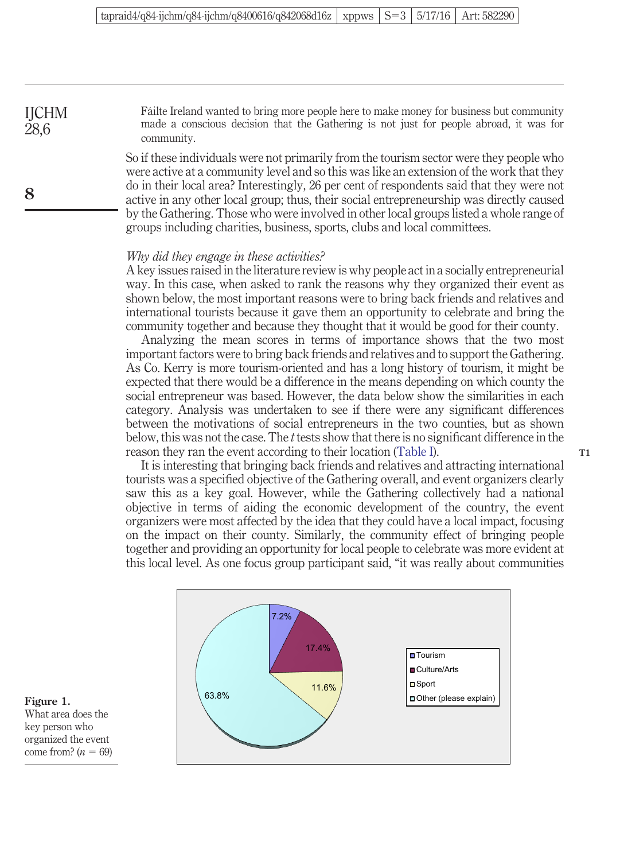<span id="page-8-0"></span>Fáilte Ireland wanted to bring more people here to make money for business but community made a conscious decision that the Gathering is not just for people abroad, it was for community.

So if these individuals were not primarily from the tourism sector were they people who were active at a community level and so this was like an extension of the work that they do in their local area? Interestingly, 26 per cent of respondents said that they were not active in any other local group; thus, their social entrepreneurship was directly caused by the Gathering. Those who were involved in other local groups listed a whole range of groups including charities, business, sports, clubs and local committees.

#### *Why did they engage in these activities?*

A key issues raised in the literature review is why people act in a socially entrepreneurial way. In this case, when asked to rank the reasons why they organized their event as shown below, the most important reasons were to bring back friends and relatives and international tourists because it gave them an opportunity to celebrate and bring the community together and because they thought that it would be good for their county.

Analyzing the mean scores in terms of importance shows that the two most important factors were to bring back friends and relatives and to support the Gathering. As Co. Kerry is more tourism-oriented and has a long history of tourism, it might be expected that there would be a difference in the means depending on which county the social entrepreneur was based. However, the data below show the similarities in each category. Analysis was undertaken to see if there were any significant differences between the motivations of social entrepreneurs in the two counties, but as shown below, this was not the case. The *t* tests show that there is no significant difference in the reason they ran the event according to their location [\(Table I\)](#page-9-0).

It is interesting that bringing back friends and relatives and attracting international tourists was a specified objective of the Gathering overall, and event organizers clearly saw this as a key goal. However, while the Gathering collectively had a national objective in terms of aiding the economic development of the country, the event organizers were most affected by the idea that they could have a local impact, focusing on the impact on their county. Similarly, the community effect of bringing people together and providing an opportunity for local people to celebrate was more evident at this local level. As one focus group participant said, "it was really about communities



### What area does the key person who organized the event  $come from? (*n* = 69)$

**8**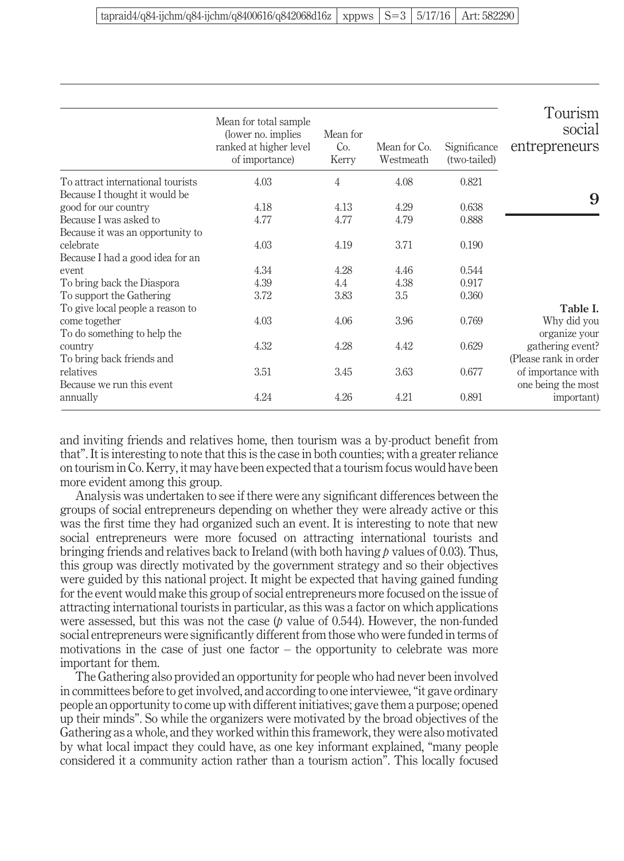<span id="page-9-0"></span>

|                                   | Mean for total sample<br>(lower no. implies)<br>ranked at higher level<br>of importance) | Mean for<br>Co.<br>Kerry | Mean for Co.<br>Westmeath | Significance<br>(two-tailed) | Tourism<br>social<br>entrepreneurs |
|-----------------------------------|------------------------------------------------------------------------------------------|--------------------------|---------------------------|------------------------------|------------------------------------|
| To attract international tourists | 4.03                                                                                     | 4                        | 4.08                      | 0.821                        |                                    |
| Because I thought it would be     |                                                                                          |                          |                           |                              | 9                                  |
| good for our country              | 4.18                                                                                     | 4.13                     | 4.29                      | 0.638                        |                                    |
| Because I was asked to            | 4.77                                                                                     | 4.77                     | 4.79                      | 0.888                        |                                    |
| Because it was an opportunity to  |                                                                                          |                          |                           |                              |                                    |
| celebrate                         | 4.03                                                                                     | 4.19                     | 3.71                      | 0.190                        |                                    |
| Because I had a good idea for an  |                                                                                          |                          |                           |                              |                                    |
| event.                            | 4.34                                                                                     | 4.28                     | 4.46                      | 0.544                        |                                    |
| To bring back the Diaspora        | 4.39                                                                                     | 4.4                      | 4.38                      | 0.917                        |                                    |
| To support the Gathering          | 3.72                                                                                     | 3.83                     | 3.5                       | 0.360                        |                                    |
| To give local people a reason to  |                                                                                          |                          |                           |                              | Table I.                           |
| come together                     | 4.03                                                                                     | 4.06                     | 3.96                      | 0.769                        | Why did you                        |
| To do something to help the       |                                                                                          |                          |                           |                              | organize your                      |
| country                           | 4.32                                                                                     | 4.28                     | 4.42                      | 0.629                        | gathering event?                   |
| To bring back friends and         |                                                                                          |                          |                           |                              | (Please rank in order)             |
| relatives                         | 3.51                                                                                     | 3.45                     | 3.63                      | 0.677                        | of importance with                 |
| Because we run this event         |                                                                                          |                          |                           |                              | one being the most                 |
| annually                          | 4.24                                                                                     | 4.26                     | 4.21                      | 0.891                        | important)                         |

and inviting friends and relatives home, then tourism was a by-product benefit from that". It is interesting to note that this is the case in both counties; with a greater reliance on tourism in Co. Kerry, it may have been expected that a tourism focus would have been more evident among this group.

Analysis was undertaken to see if there were any significant differences between the groups of social entrepreneurs depending on whether they were already active or this was the first time they had organized such an event. It is interesting to note that new social entrepreneurs were more focused on attracting international tourists and bringing friends and relatives back to Ireland (with both having *p* values of 0.03). Thus, this group was directly motivated by the government strategy and so their objectives were guided by this national project. It might be expected that having gained funding for the event would make this group of social entrepreneurs more focused on the issue of attracting international tourists in particular, as this was a factor on which applications were assessed, but this was not the case (*p* value of 0.544). However, the non-funded social entrepreneurs were significantly different from those who were funded in terms of motivations in the case of just one factor – the opportunity to celebrate was more important for them.

The Gathering also provided an opportunity for people who had never been involved in committees before to get involved, and according to one interviewee, "it gave ordinary people an opportunity to come up with different initiatives; gave them a purpose; opened up their minds". So while the organizers were motivated by the broad objectives of the Gathering as a whole, and they worked within this framework, they were also motivated by what local impact they could have, as one key informant explained, "many people considered it a community action rather than a tourism action". This locally focused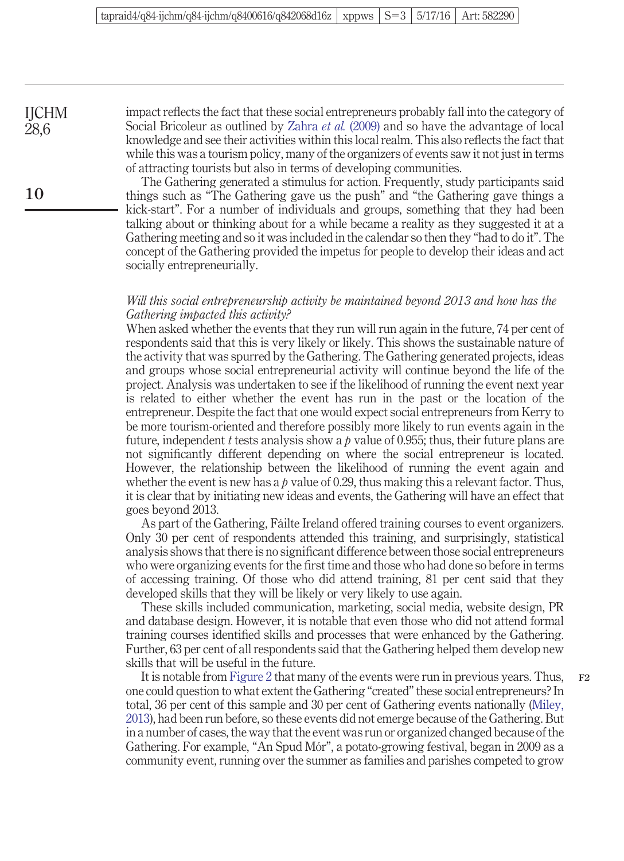impact reflects the fact that these social entrepreneurs probably fall into the category of Social Bricoleur as outlined by [Zahra](#page-17-0) *et al.* (2009) and so have the advantage of local knowledge and see their activities within this local realm. This also reflects the fact that while this was a tourism policy, many of the organizers of events saw it not just in terms of attracting tourists but also in terms of developing communities.

The Gathering generated a stimulus for action. Frequently, study participants said things such as "The Gathering gave us the push" and "the Gathering gave things a kick-start". For a number of individuals and groups, something that they had been talking about or thinking about for a while became a reality as they suggested it at a Gathering meeting and so it was included in the calendar so then they "had to do it". The concept of the Gathering provided the impetus for people to develop their ideas and act socially entrepreneurially.

#### *Will this social entrepreneurship activity be maintained beyond 2013 and how has the Gathering impacted this activity?*

When asked whether the events that they run will run again in the future, 74 per cent of respondents said that this is very likely or likely. This shows the sustainable nature of the activity that was spurred by the Gathering. The Gathering generated projects, ideas and groups whose social entrepreneurial activity will continue beyond the life of the project. Analysis was undertaken to see if the likelihood of running the event next year is related to either whether the event has run in the past or the location of the entrepreneur. Despite the fact that one would expect social entrepreneurs from Kerry to be more tourism-oriented and therefore possibly more likely to run events again in the future, independent *t* tests analysis show a *p* value of 0.955; thus, their future plans are not significantly different depending on where the social entrepreneur is located. However, the relationship between the likelihood of running the event again and whether the event is new has a  $p$  value of 0.29, thus making this a relevant factor. Thus, it is clear that by initiating new ideas and events, the Gathering will have an effect that goes beyond 2013.

As part of the Gathering, Fáilte Ireland offered training courses to event organizers. Only 30 per cent of respondents attended this training, and surprisingly, statistical analysis shows that there is no significant difference between those social entrepreneurs who were organizing events for the first time and those who had done so before in terms of accessing training. Of those who did attend training, 81 per cent said that they developed skills that they will be likely or very likely to use again.

These skills included communication, marketing, social media, website design, PR and database design. However, it is notable that even those who did not attend formal training courses identified skills and processes that were enhanced by the Gathering. Further, 63 per cent of all respondents said that the Gathering helped them develop new skills that will be useful in the future.

It is notable from [Figure 2](#page-11-0) that many of the events were run in previous years. Thus, one could question to what extent the Gathering "created" these social entrepreneurs? In total, 36 per cent of this sample and 30 per cent of Gathering events nationally [\(Miley,](#page-16-0) [2013\)](#page-16-0), had been run before, so these events did not emerge because of the Gathering. But in a number of cases, the way that the event was run or organized changed because of the Gathering. For example, "An Spud Mór", a potato-growing festival, began in 2009 as a community event, running over the summer as families and parishes competed to grow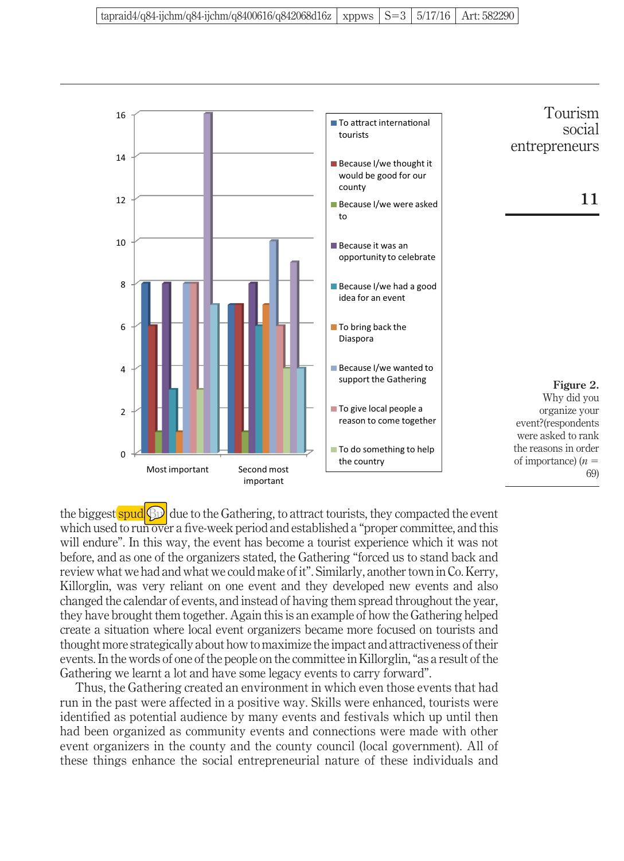<span id="page-11-0"></span>

the biggest **spud**  $\odot$  due to the Gathering, to attract tourists, they compacted the event which used to run over a five-week period and established a "proper committee, and this will endure". In this way, the event has become a tourist experience which it was not before, and as one of the organizers stated, the Gathering "forced us to stand back and review what we had and what we could make of it". Similarly, another town in Co. Kerry, Killorglin, was very reliant on one event and they developed new events and also changed the calendar of events, and instead of having them spread throughout the year, they have brought them together. Again this is an example of how the Gathering helped create a situation where local event organizers became more focused on tourists and thought more strategically about how to maximize the impact and attractiveness of their events. In the words of one of the people on the committee in Killorglin, "as a result of the Gathering we learnt a lot and have some legacy events to carry forward".

Thus, the Gathering created an environment in which even those events that had run in the past were affected in a positive way. Skills were enhanced, tourists were identified as potential audience by many events and festivals which up until then had been organized as community events and connections were made with other event organizers in the county and the county council (local government). All of these things enhance the social entrepreneurial nature of these individuals and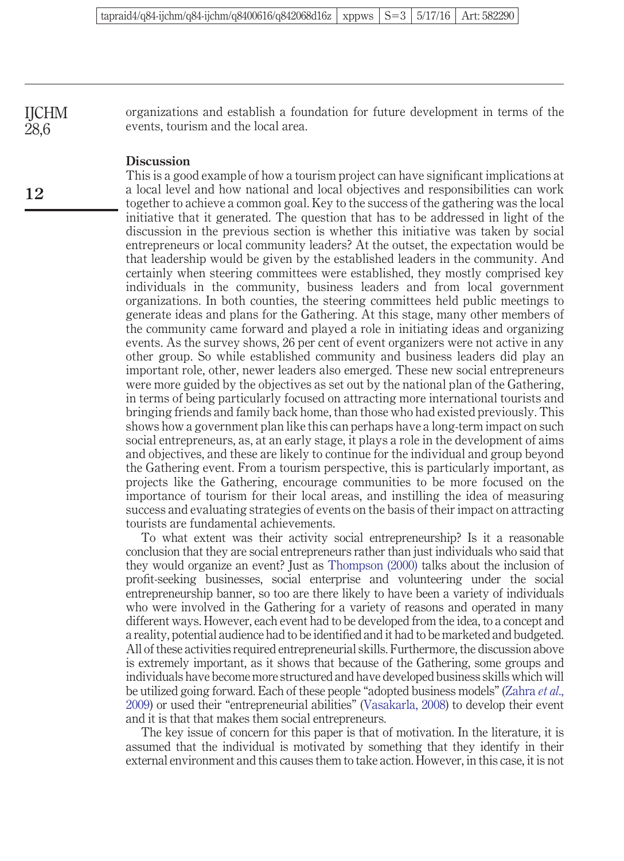organizations and establish a foundation for future development in terms of the events, tourism and the local area.

#### **Discussion**

This is a good example of how a tourism project can have significant implications at a local level and how national and local objectives and responsibilities can work together to achieve a common goal. Key to the success of the gathering was the local initiative that it generated. The question that has to be addressed in light of the discussion in the previous section is whether this initiative was taken by social entrepreneurs or local community leaders? At the outset, the expectation would be that leadership would be given by the established leaders in the community. And certainly when steering committees were established, they mostly comprised key individuals in the community, business leaders and from local government organizations. In both counties, the steering committees held public meetings to generate ideas and plans for the Gathering. At this stage, many other members of the community came forward and played a role in initiating ideas and organizing events. As the survey shows, 26 per cent of event organizers were not active in any other group. So while established community and business leaders did play an important role, other, newer leaders also emerged. These new social entrepreneurs were more guided by the objectives as set out by the national plan of the Gathering, in terms of being particularly focused on attracting more international tourists and bringing friends and family back home, than those who had existed previously. This shows how a government plan like this can perhaps have a long-term impact on such social entrepreneurs, as, at an early stage, it plays a role in the development of aims and objectives, and these are likely to continue for the individual and group beyond the Gathering event. From a tourism perspective, this is particularly important, as projects like the Gathering, encourage communities to be more focused on the importance of tourism for their local areas, and instilling the idea of measuring success and evaluating strategies of events on the basis of their impact on attracting tourists are fundamental achievements.

To what extent was their activity social entrepreneurship? Is it a reasonable conclusion that they are social entrepreneurs rather than just individuals who said that they would organize an event? Just as [Thompson \(2000\)](#page-17-0) talks about the inclusion of profit-seeking businesses, social enterprise and volunteering under the social entrepreneurship banner, so too are there likely to have been a variety of individuals who were involved in the Gathering for a variety of reasons and operated in many different ways. However, each event had to be developed from the idea, to a concept and a reality, potential audience had to be identified and it had to be marketed and budgeted. All of these activities required entrepreneurial skills. Furthermore, the discussion above is extremely important, as it shows that because of the Gathering, some groups and individuals have become more structured and have developed business skills which will be utilized going forward. Each of these people "adopted business models" [\(Zahra](#page-17-0) *et al*., [2009\)](#page-17-0) or used their "entrepreneurial abilities" [\(Vasakarla, 2008\)](#page-17-0) to develop their event and it is that that makes them social entrepreneurs.

The key issue of concern for this paper is that of motivation. In the literature, it is assumed that the individual is motivated by something that they identify in their external environment and this causes them to take action. However, in this case, it is not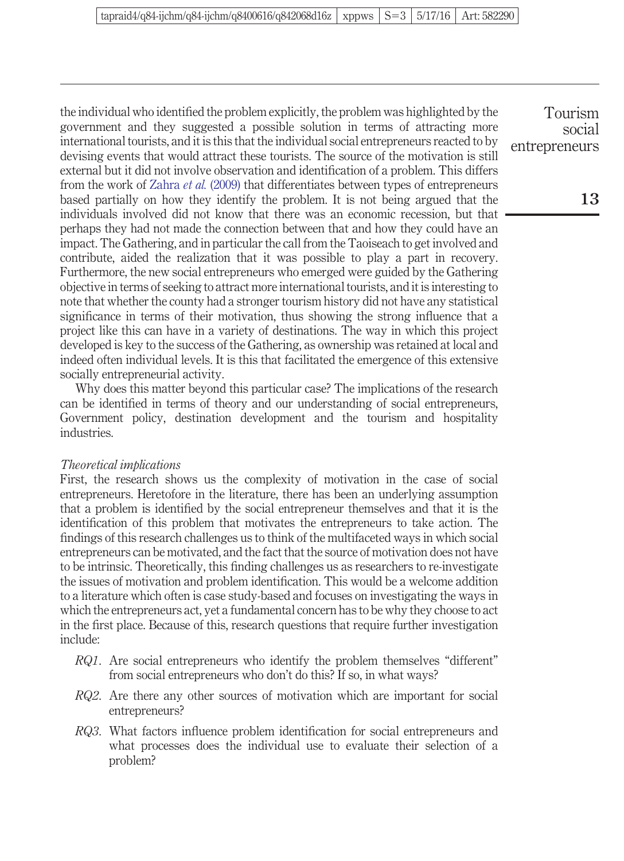the individual who identified the problem explicitly, the problem was highlighted by the government and they suggested a possible solution in terms of attracting more international tourists, and it is this that the individual social entrepreneurs reacted to by devising events that would attract these tourists. The source of the motivation is still external but it did not involve observation and identification of a problem. This differs from the work of [Zahra](#page-17-0) *et al.* (2009) that differentiates between types of entrepreneurs based partially on how they identify the problem. It is not being argued that the individuals involved did not know that there was an economic recession, but that perhaps they had not made the connection between that and how they could have an impact. The Gathering, and in particular the call from the Taoiseach to get involved and contribute, aided the realization that it was possible to play a part in recovery. Furthermore, the new social entrepreneurs who emerged were guided by the Gathering objective in terms of seeking to attract more international tourists, and it is interesting to note that whether the county had a stronger tourism history did not have any statistical significance in terms of their motivation, thus showing the strong influence that a project like this can have in a variety of destinations. The way in which this project developed is key to the success of the Gathering, as ownership was retained at local and indeed often individual levels. It is this that facilitated the emergence of this extensive socially entrepreneurial activity.

Why does this matter beyond this particular case? The implications of the research can be identified in terms of theory and our understanding of social entrepreneurs, Government policy, destination development and the tourism and hospitality industries.

#### *Theoretical implications*

First, the research shows us the complexity of motivation in the case of social entrepreneurs. Heretofore in the literature, there has been an underlying assumption that a problem is identified by the social entrepreneur themselves and that it is the identification of this problem that motivates the entrepreneurs to take action. The findings of this research challenges us to think of the multifaceted ways in which social entrepreneurs can be motivated, and the fact that the source of motivation does not have to be intrinsic. Theoretically, this finding challenges us as researchers to re-investigate the issues of motivation and problem identification. This would be a welcome addition to a literature which often is case study-based and focuses on investigating the ways in which the entrepreneurs act, yet a fundamental concern has to be why they choose to act in the first place. Because of this, research questions that require further investigation include:

- *RQ1*. Are social entrepreneurs who identify the problem themselves "different" from social entrepreneurs who don't do this? If so, in what ways?
- *RQ2*. Are there any other sources of motivation which are important for social entrepreneurs?
- *RQ3*. What factors influence problem identification for social entrepreneurs and what processes does the individual use to evaluate their selection of a problem?

Tourism social entrepreneurs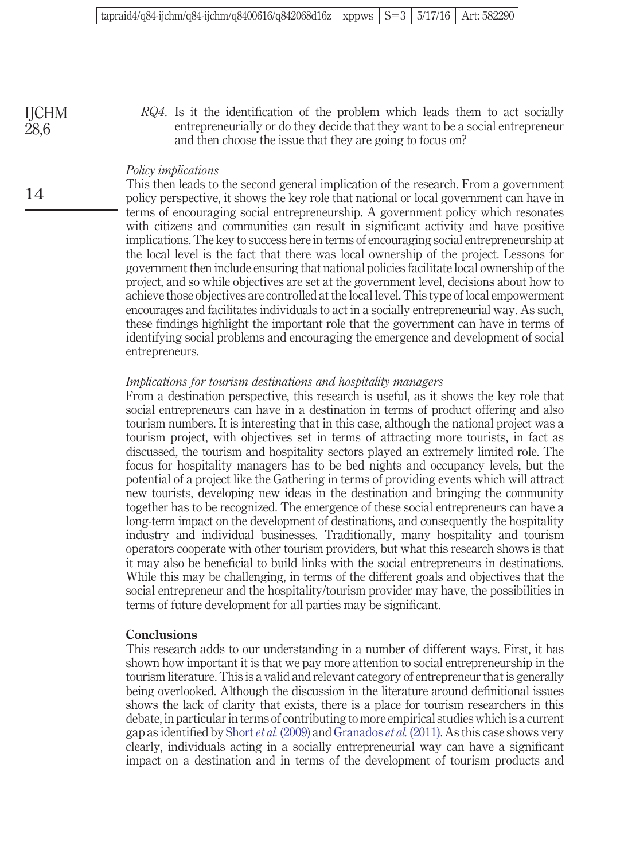### IJCHM 28,6

**14**

*RQ4*. Is it the identification of the problem which leads them to act socially entrepreneurially or do they decide that they want to be a social entrepreneur and then choose the issue that they are going to focus on?

#### *Policy implications*

This then leads to the second general implication of the research. From a government policy perspective, it shows the key role that national or local government can have in terms of encouraging social entrepreneurship. A government policy which resonates with citizens and communities can result in significant activity and have positive implications. The key to success here in terms of encouraging social entrepreneurship at the local level is the fact that there was local ownership of the project. Lessons for government then include ensuring that national policies facilitate local ownership of the project, and so while objectives are set at the government level, decisions about how to achieve those objectives are controlled at the local level. This type of local empowerment encourages and facilitates individuals to act in a socially entrepreneurial way. As such, these findings highlight the important role that the government can have in terms of identifying social problems and encouraging the emergence and development of social entrepreneurs.

#### *Implications for tourism destinations and hospitality managers*

From a destination perspective, this research is useful, as it shows the key role that social entrepreneurs can have in a destination in terms of product offering and also tourism numbers. It is interesting that in this case, although the national project was a tourism project, with objectives set in terms of attracting more tourists, in fact as discussed, the tourism and hospitality sectors played an extremely limited role. The focus for hospitality managers has to be bed nights and occupancy levels, but the potential of a project like the Gathering in terms of providing events which will attract new tourists, developing new ideas in the destination and bringing the community together has to be recognized. The emergence of these social entrepreneurs can have a long-term impact on the development of destinations, and consequently the hospitality industry and individual businesses. Traditionally, many hospitality and tourism operators cooperate with other tourism providers, but what this research shows is that it may also be beneficial to build links with the social entrepreneurs in destinations. While this may be challenging, in terms of the different goals and objectives that the social entrepreneur and the hospitality/tourism provider may have, the possibilities in terms of future development for all parties may be significant.

#### **Conclusions**

This research adds to our understanding in a number of different ways. First, it has shown how important it is that we pay more attention to social entrepreneurship in the tourism literature. This is a valid and relevant category of entrepreneur that is generally being overlooked. Although the discussion in the literature around definitional issues shows the lack of clarity that exists, there is a place for tourism researchers in this debate, in particular in terms of contributing to more empirical studies which is a current gap as identified by Short *et al.* [\(2009\)](#page-17-0) and[Granados](#page-16-0) *et al.* (2011). As this case shows very clearly, individuals acting in a socially entrepreneurial way can have a significant impact on a destination and in terms of the development of tourism products and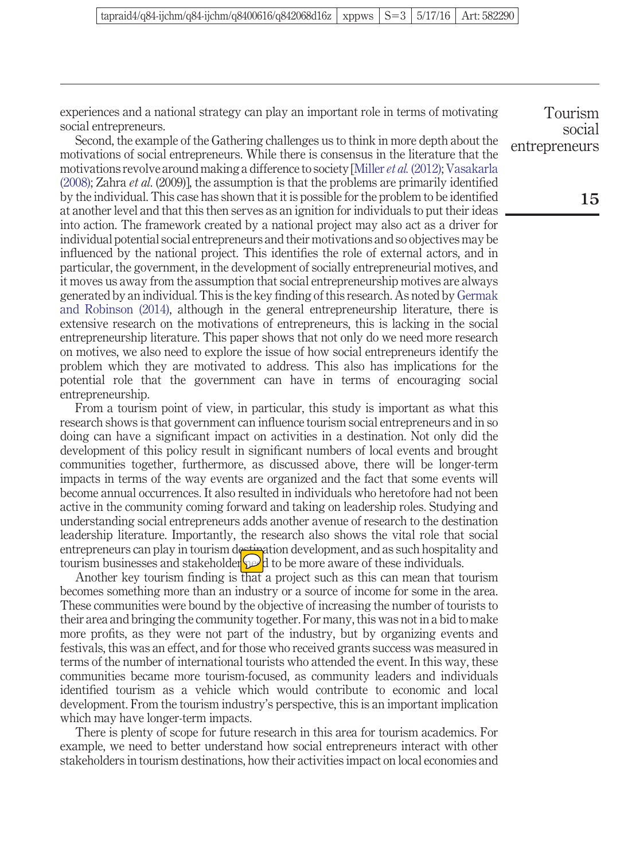| tapraid4/q84-ijchm/q84-ijchm/q8400616/q842068d16z   xppws   $S=3$   5/17/16   Art: 582290 |  |  |  |  |
|-------------------------------------------------------------------------------------------|--|--|--|--|
|-------------------------------------------------------------------------------------------|--|--|--|--|

experiences and a national strategy can play an important role in terms of motivating social entrepreneurs.

Second, the example of the Gathering challenges us to think in more depth about the motivations of social entrepreneurs. While there is consensus in the literature that the motivations revolve around making a difference to society [\[Miller](#page-16-0) *et al.* (2012);[Vasakarla](#page-17-0) [\(2008\);](#page-17-0) Zahra *et al*. (2009)], the assumption is that the problems are primarily identified by the individual. This case has shown that it is possible for the problem to be identified at another level and that this then serves as an ignition for individuals to put their ideas into action. The framework created by a national project may also act as a driver for individual potential social entrepreneurs and their motivations and so objectives may be influenced by the national project. This identifies the role of external actors, and in particular, the government, in the development of socially entrepreneurial motives, and it moves us away from the assumption that social entrepreneurship motives are always generated by an individual. This is the key finding of this research. As noted by [Germak](#page-16-0) [and Robinson \(2014\),](#page-16-0) although in the general entrepreneurship literature, there is extensive research on the motivations of entrepreneurs, this is lacking in the social entrepreneurship literature. This paper shows that not only do we need more research on motives, we also need to explore the issue of how social entrepreneurs identify the problem which they are motivated to address. This also has implications for the potential role that the government can have in terms of encouraging social entrepreneurship.

From a tourism point of view, in particular, this study is important as what this research shows is that government can influence tourism social entrepreneurs and in so doing can have a significant impact on activities in a destination. Not only did the development of this policy result in significant numbers of local events and brought communities together, furthermore, as discussed above, there will be longer-term impacts in terms of the way events are organized and the fact that some events will become annual occurrences. It also resulted in individuals who heretofore had not been active in the community coming forward and taking on leadership roles. Studying and understanding social entrepreneurs adds another avenue of research to the destination leadership literature. Importantly, the research also shows the vital role that social entrepreneurs can play in tourism destination development, and as such hospitality and tourism businesses and stakeholder  $\mathcal{P}$  to be more aware of these individuals.

Another key tourism finding is that a project such as this can mean that tourism becomes something more than an industry or a source of income for some in the area. These communities were bound by the objective of increasing the number of tourists to their area and bringing the community together. For many, this was not in a bid to make more profits, as they were not part of the industry, but by organizing events and festivals, this was an effect, and for those who received grants success was measured in terms of the number of international tourists who attended the event. In this way, these communities became more tourism-focused, as community leaders and individuals identified tourism as a vehicle which would contribute to economic and local development. From the tourism industry's perspective, this is an important implication which may have longer-term impacts.

There is plenty of scope for future research in this area for tourism academics. For example, we need to better understand how social entrepreneurs interact with other stakeholders in tourism destinations, how their activities impact on local economies and

Tourism social entrepreneurs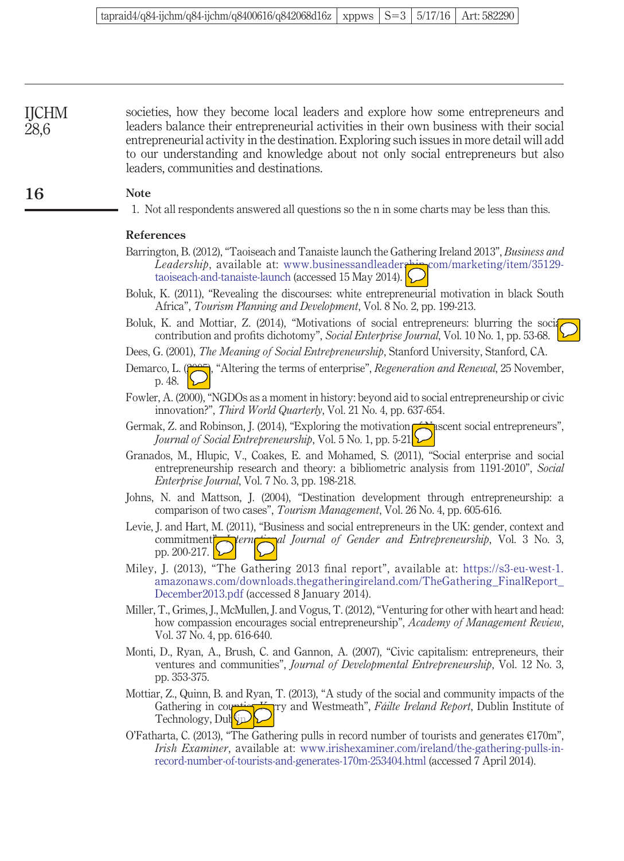<span id="page-16-0"></span>societies, how they become local leaders and explore how some entrepreneurs and leaders balance their entrepreneurial activities in their own business with their social entrepreneurial activity in the destination. Exploring such issues in more detail will add to our understanding and knowledge about not only social entrepreneurs but also leaders, communities and destinations. IJCHM 28,6

#### **Note 16**

1. Not all respondents answered all questions so the n in some charts may be less than this.

#### **References**

- Barrington, B. (2012), "Taoiseach and Tanaiste launch the Gathering Ireland 2013", *Business and Leadership*, available at: [www.businessandleadership.com/marketing/item/35129](http://www.businessandleadership.com/marketing/item/35129-taoiseach-and-tanaiste-launch) [taoiseach-and-tanaiste-launch](http://www.businessandleadership.com/marketing/item/35129-taoiseach-and-tanaiste-launch) (accessed 15 May 2014).
- Boluk, K. (2011), "Revealing the discourses: white entrepreneurial motivation in black South Africa", *Tourism Planning and Development*, Vol. 8 No. 2, pp. 199-213.
- Boluk, K. and Mottiar, Z. (2014), "Motivations of social entrepreneurs: blurring the social contribution and profits dichotomy", *Social Enterprise Journal*, Vol. 10 No. 1, pp. 53-68.

Dees, G. (2001), *The Meaning of Social Entrepreneurship*, Stanford University, Stanford, CA.

- Demarco, L. (2005), "Altering the terms of enterprise", *Regeneration and Renewal*, 25 November, p. 48.  $\bigcup$
- Fowler, A. (2000), "NGDOs as a moment in history: beyond aid to social entrepreneurship or civic innovation?", *Third World Quarterly*, Vol. 21 No. 4, pp. 637-654.
- Germak, Z. and Robinson, J. (2014), "Exploring the motivation  $\mathbb{R}^n$  ascent social entrepreneurs", *Journal of Social Entrepreneurship*, Vol. 5 No. 1, pp. 5-21.
- Granados, M., Hlupic, V., Coakes, E. and Mohamed, S. (2011), "Social enterprise and social entrepreneurship research and theory: a bibliometric analysis from 1191-2010", *Social Enterprise Journal*, Vol. 7 No. 3, pp. 198-218.
- Johns, N. and Mattson, J. (2004), "Destination development through entrepreneurship: a comparison of two cases", *Tourism Management*, Vol. 26 No. 4, pp. 605-616.
- Levie, J. and Hart, M. (2011), "Business and social entrepreneurs in the UK: gender, context and commitment *I*<sub>ntern</sub> *I*<sub>ntern</sub> *I*<sub>nd</sub> *Journal of Gender and Entrepreneurship*, Vol. 3 No. 3, pp.  $200-217.$
- Miley, J. (2013), "The Gathering 2013 final report", available at: [https://s3-eu-west-1.](https://s3-eu-west-1.amazonaws.com/downloads.thegatheringireland.com/TheGathering_FinalReport_December2013.pdf) [amazonaws.com/downloads.thegatheringireland.com/TheGathering\\_FinalReport\\_](https://s3-eu-west-1.amazonaws.com/downloads.thegatheringireland.com/TheGathering_FinalReport_December2013.pdf) [December2013.pdf](https://s3-eu-west-1.amazonaws.com/downloads.thegatheringireland.com/TheGathering_FinalReport_December2013.pdf) (accessed 8 January 2014).
- Miller, T., Grimes, J., McMullen, J. and Vogus, T. (2012), "Venturing for other with heart and head: how compassion encourages social entrepreneurship", *Academy of Management Review*, Vol. 37 No. 4, pp. 616-640.
- Monti, D., Ryan, A., Brush, C. and Gannon, A. (2007), "Civic capitalism: entrepreneurs, their ventures and communities", *Journal of Developmental Entrepreneurship*, Vol. 12 No. 3, pp. 353-375.
- Mottiar, Z., Quinn, B. and Ryan, T. (2013), "A study of the social and community impacts of the Gathering in counties Kerry and Westmeath", *Fáilte Ireland Report*, Dublin Institute of Technology, Dublin.
- O'Fatharta, C. (2013), "The Gathering pulls in record number of tourists and generates €170m", *Irish Examiner*, available at: [www.irishexaminer.com/ireland/the-gathering-pulls-in](http://www.irishexaminer.com/ireland/the-gathering-pulls-in-record-number-of-tourists-and-generates-170m-253404.html)[record-number-of-tourists-and-generates-170m-253404.html](http://www.irishexaminer.com/ireland/the-gathering-pulls-in-record-number-of-tourists-and-generates-170m-253404.html) (accessed 7 April 2014).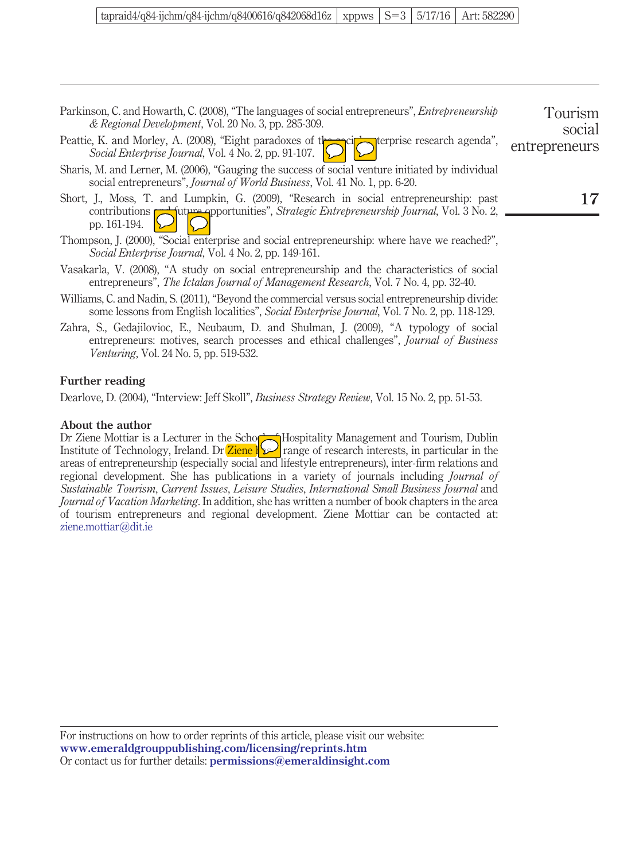<span id="page-17-0"></span>

| tapraid4/q84-ijchm/q84-ijchm/q8400616/q842068d16z   xppws   S=3   5/17/16   Art: 582290 |  |  |  |  |
|-----------------------------------------------------------------------------------------|--|--|--|--|
|-----------------------------------------------------------------------------------------|--|--|--|--|

| Parkinson, C. and Howarth, C. (2008), "The languages of social entrepreneurs", <i>Entrepreneurship</i><br>& Regional Development, Vol. 20 No. 3, pp. 285-309.                                                                     | Tourism<br>social |
|-----------------------------------------------------------------------------------------------------------------------------------------------------------------------------------------------------------------------------------|-------------------|
| Peattie, K. and Morley, A. (2008), "Eight paradoxes of the cold experimentally perpendicular peaks of the cold of the second agenda".<br>Social Enterprise Journal, Vol. 4 No. 2, pp. 91-107. $\bigcup$                           | entrepreneurs     |
| Sharis, M. and Lerner, M. (2006), "Gauging the success of social venture initiated by individual<br>social entrepreneurs", <i>Journal of World Business</i> , Vol. 41 No. 1, pp. 6-20.                                            |                   |
| Short, J., Moss, T. and Lumpkin, G. (2009), "Research in social entrepreneurship: past<br>contributions $\Box$ future apportunities", <i>Strategic Entrepreneurship Journal</i> , Vol. 3 No. 2,<br>pp. 161-194.                   |                   |
| Thompson, J. (2000), "Social enterprise and social entrepreneurship: where have we reached?",<br>Social Enterprise Journal, Vol. 4 No. 2, pp. 149-161.                                                                            |                   |
| Vasakarla, V. (2008), "A study on social entrepreneurship and the characteristics of social<br>entrepreneurs", <i>The Ictalan Journal of Management Research</i> , Vol. 7 No. 4, pp. 32-40.                                       |                   |
| Williams, C. and Nadin, S. (2011), "Beyond the commercial versus social entrepreneurship divide:<br>some lessons from English localities", <i>Social Enterprise Journal</i> , Vol. 7 No. 2, pp. 118-129.                          |                   |
| Zahra, S., Gedajilovioc, E., Neubaum, D. and Shulman, J. (2009), "A typology of social<br>entrepreneurs: motives, search processes and ethical challenges", Journal of Business<br><i>Venturing</i> , Vol. 24 No. 5, pp. 519-532. |                   |

#### **Further reading**

Dearlove, D. (2004), "Interview: Jeff Skoll", *Business Strategy Review*, Vol. 15 No. 2, pp. 51-53.

#### **About the author**

Dr Ziene Mottiar is a Lecturer in the School Gallery Management and Tourism, Dublin Institute of Technology, Ireland. Dr **Ziene Herman** range of research interests, in particular in the areas of entrepreneurship (especially social and lifestyle entrepreneurs), inter-firm relations and regional development. She has publications in a variety of journals including *Journal of Sustainable Tourism*, *Current Issues*, *Leisure Studies*, *International Small Business Journal* and *Journal of Vacation Marketing*. In addition, she has written a number of book chapters in the area of tourism entrepreneurs and regional development. Ziene Mottiar can be contacted at: [ziene.mottiar@dit.ie](mailto:ziene.mottiar@dit.ie)

For instructions on how to order reprints of this article, please visit our website: **www.emeraldgrouppublishing.com/licensing/reprints.htm** Or contact us for further details: **[permissions@emeraldinsight.com](mailto:permissions@emeraldinsight.com)**